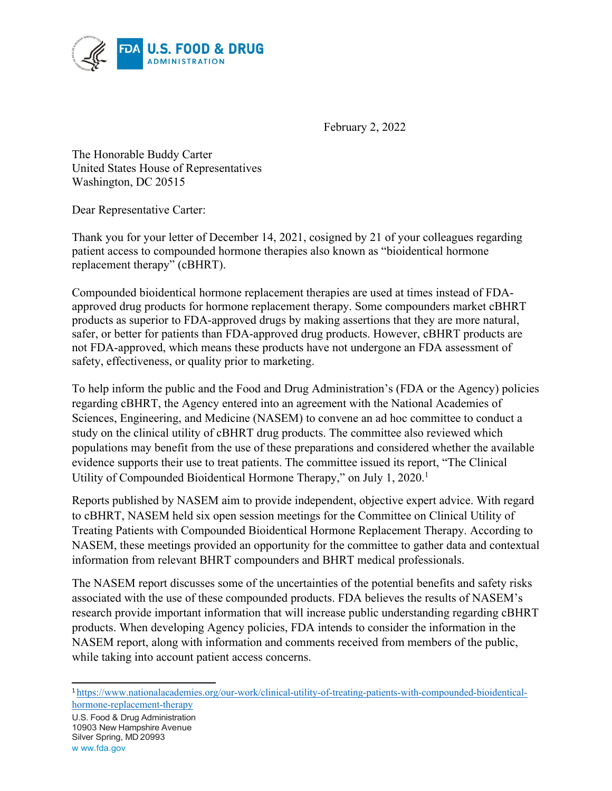

February 2, 2022

The Honorable Buddy Carter United States House of Representatives Washington, DC 20515

Dear Representative Carter:

Thank you for your letter of December 14, 2021, cosigned by 21 of your colleagues regarding patient access to compounded hormone therapies also known as "bioidentical hormone replacement therapy" (cBHRT).

Compounded bioidentical hormone replacement therapies are used at times instead of FDAapproved drug products for hormone replacement therapy. Some compounders market cBHRT products as superior to FDA-approved drugs by making assertions that they are more natural, safer, or better for patients than FDA-approved drug products. However, cBHRT products are not FDA-approved, which means these products have not undergone an FDA assessment of safety, effectiveness, or quality prior to marketing.

To help inform the public and the Food and Drug Administration's (FDA or the Agency) policies regarding cBHRT, the Agency entered into an agreement with the National Academies of Sciences, Engineering, and Medicine (NASEM) to convene an ad hoc committee to conduct a study on the clinical utility of cBHRT drug products. The committee also reviewed which populations may benefit from the use of these preparations and considered whether the available evidence supports their use to treat patients. The committee issued its report, "The Clinical Utility of Compounded Bioidentical Hormone Therapy," on July 1, 2020.<sup>1</sup>

Reports published by NASEM aim to provide independent, objective expert advice. With regard to cBHRT, NASEM held six open session meetings for the Committee on Clinical Utility of Treating Patients with Compounded Bioidentical Hormone Replacement Therapy. According to NASEM, these meetings provided an opportunity for the committee to gather data and contextual information from relevant BHRT compounders and BHRT medical professionals.

The NASEM report discusses some of the uncertainties of the potential benefits and safety risks associated with the use of these compounded products. FDA believes the results of NASEM's research provide important information that will increase public understanding regarding cBHRT products. When developing Agency policies, FDA intends to consider the information in the NASEM report, along with information and comments received from members of the public, while taking into account patient access concerns.

<span id="page-0-0"></span><sup>1</sup> [https://www.nationalacademies.org/our-work/clinical-utility-of-treating-patients-with-compounded-bioidentical](https://www.nationalacademies.org/our-work/clinical-utility-of-treating-patients-with-compounded-bioidentical-hormone-replacement-therapy)[hormone-replacement-therapy](https://www.nationalacademies.org/our-work/clinical-utility-of-treating-patients-with-compounded-bioidentical-hormone-replacement-therapy)